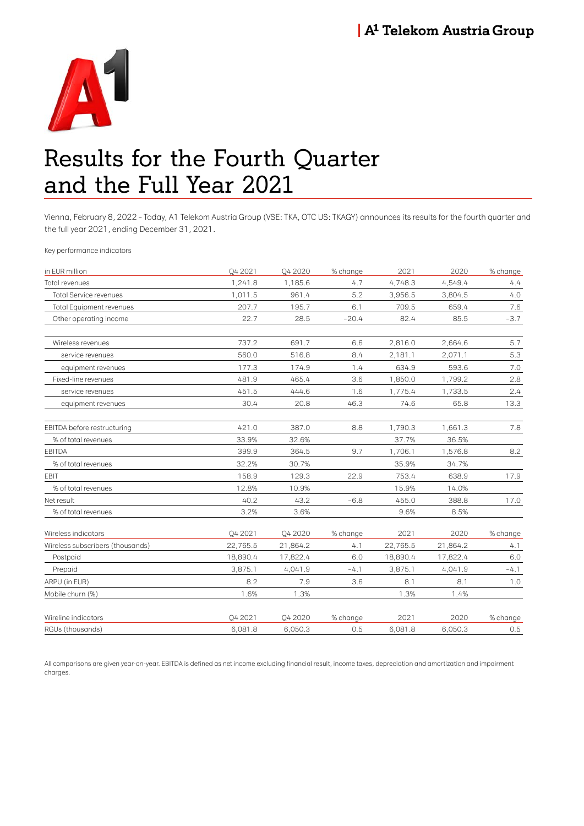

# Results for the Fourth Quarter and the Full Year 2021

Vienna, February 8, 2022 – Today, A1 Telekom Austria Group (VSE: TKA, OTC US: TKAGY) announces its results for the fourth quarter and the full year 2021, ending December 31, 2021.

Key performance indicators

| in EUR million                   | O4 2021  | <b>042020</b> | % change | 2021     | 2020     | % change |
|----------------------------------|----------|---------------|----------|----------|----------|----------|
| Total revenues                   | 1,241.8  | 1,185.6       | 4.7      | 4,748.3  | 4,549.4  | 4.4      |
| Total Service revenues           | 1,011.5  | 961.4         | 5.2      | 3,956.5  | 3,804.5  | 4.0      |
| <b>Total Equipment revenues</b>  | 207.7    | 195.7         | 6.1      | 709.5    | 659.4    | 7.6      |
| Other operating income           | 22.7     | 28.5          | $-20.4$  | 82.4     | 85.5     | $-3.7$   |
| Wireless revenues                | 737.2    | 691.7         | 6.6      | 2,816.0  | 2,664.6  | 5.7      |
| service revenues                 | 560.0    | 516.8         | 8.4      | 2,181.1  | 2,071.1  | 5.3      |
| equipment revenues               | 177.3    | 174.9         | 1.4      | 634.9    | 593.6    | 7.0      |
| Fixed-line revenues              | 481.9    | 465.4         | 3.6      | 1,850.0  | 1,799.2  | 2.8      |
| service revenues                 | 451.5    | 444.6         | 1.6      | 1,775.4  | 1,733.5  | 2.4      |
| equipment revenues               | 30.4     | 20.8          | 46.3     | 74.6     | 65.8     | 13.3     |
| EBITDA before restructuring      | 421.0    | 387.0         | 8.8      | 1,790.3  | 1,661.3  | 7.8      |
| % of total revenues              | 33.9%    | 32.6%         |          | 37.7%    | 36.5%    |          |
| <b>EBITDA</b>                    | 399.9    | 364.5         | 9.7      | 1,706.1  | 1,576.8  | 8.2      |
| % of total revenues              | 32.2%    | 30.7%         |          | 35.9%    | 34.7%    |          |
| <b>EBIT</b>                      | 158.9    | 129.3         | 22.9     | 753.4    | 638.9    | 17.9     |
| % of total revenues              | 12.8%    | 10.9%         |          | 15.9%    | 14.0%    |          |
| Net result                       | 40.2     | 43.2          | $-6.8$   | 455.0    | 388.8    | 17.0     |
| % of total revenues              | 3.2%     | 3.6%          |          | 9.6%     | 8.5%     |          |
| Wireless indicators              | O4 2021  | <b>042020</b> | % change | 2021     | 2020     | % change |
| Wireless subscribers (thousands) | 22,765.5 | 21,864.2      | 4.1      | 22,765.5 | 21,864.2 | 4.1      |
| Postpaid                         | 18,890.4 | 17,822.4      | 6.0      | 18,890.4 | 17,822.4 | 6.0      |
| Prepaid                          | 3,875.1  | 4,041.9       | $-4.1$   | 3,875.1  | 4,041.9  | $-4.1$   |
| ARPU (in EUR)                    | 8.2      | 7.9           | 3.6      | 8.1      | 8.1      | 1.0      |
| Mobile churn (%)                 | 1.6%     | 1.3%          |          | 1.3%     | 1.4%     |          |
| Wireline indicators              | O4 2021  | <b>042020</b> | % change | 2021     | 2020     | % change |
| RGUs (thousands)                 | 6,081.8  | 6,050.3       | 0.5      | 6,081.8  | 6,050.3  | 0.5      |
|                                  |          |               |          |          |          |          |

All comparisons are given year-on-year. EBITDA is defined as net income excluding financial result, income taxes, depreciation and amortization and impairment charges.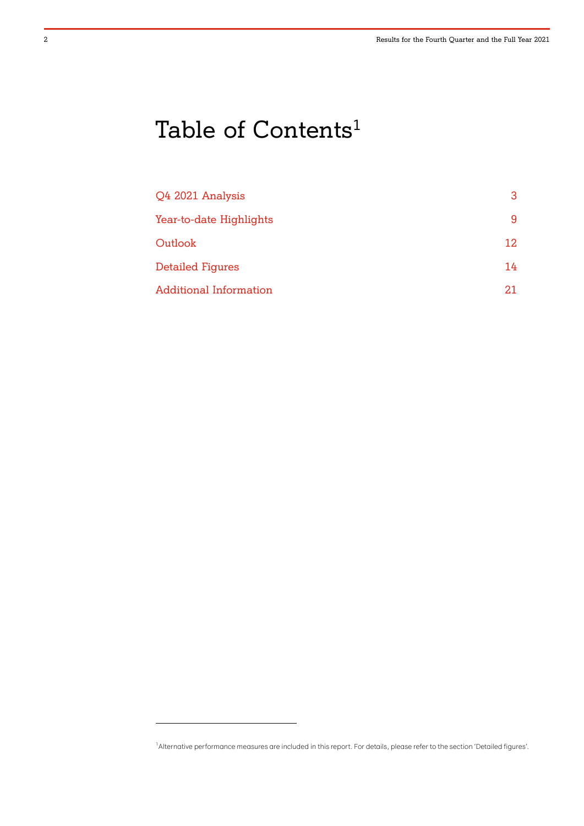# Table of Contents<sup>1</sup>

| Q4 2021 Analysis              | 3  |
|-------------------------------|----|
| Year-to-date Highlights       | 9  |
| Outlook                       | 12 |
| <b>Detailed Figures</b>       | 14 |
| <b>Additional Information</b> | 21 |

 $\overline{a}$ 

<sup>1</sup> Alternative performance measures are included in this report. For details, please refer to the section 'Detailed figures'.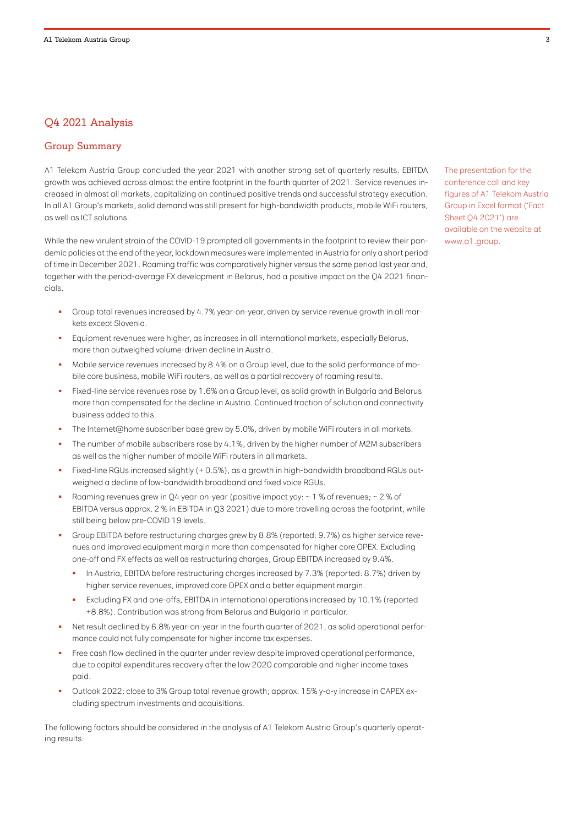# Q4 2021 Analysis

# Group Summary

A1 Telekom Austria Group concluded the year 2021 with another strong set of quarterly results. EBITDA growth was achieved across almost the entire footprint in the fourth quarter of 2021. Service revenues increased in almost all markets, capitalizing on continued positive trends and successful strategy execution. In all A1 Group's markets, solid demand was still present for high-bandwidth products, mobile WiFi routers, as well as ICT solutions.

While the new virulent strain of the COVID-19 prompted all governments in the footprint to review their pandemic policies at the end of the year, lockdown measures were implemented in Austria for only a short period of time in December 2021. Roaming traffic was comparatively higher versus the same period last year and, together with the period-average FX development in Belarus, had a positive impact on the Q4 2021 financials.

- Group total revenues increased by 4.7% year-on-year, driven by service revenue growth in all markets except Slovenia.
- Equipment revenues were higher, as increases in all international markets, especially Belarus, more than outweighed volume-driven decline in Austria.
- Mobile service revenues increased by 8.4% on a Group level, due to the solid performance of mobile core business, mobile WiFi routers, as well as a partial recovery of roaming results.
- Fixed-line service revenues rose by 1.6% on a Group level, as solid growth in Bulgaria and Belarus more than compensated for the decline in Austria. Continued traction of solution and connectivity business added to this.
- The Internet@home subscriber base grew by 5.0%, driven by mobile WiFi routers in all markets.
- The number of mobile subscribers rose by 4.1%, driven by the higher number of M2M subscribers as well as the higher number of mobile WiFi routers in all markets.
- Fixed-line RGUs increased slightly (+ 0.5%), as a growth in high-bandwidth broadband RGUs outweighed a decline of low-bandwidth broadband and fixed voice RGUs.
- Roaming revenues grew in Q4 year-on-year (positive impact yoy: ~ 1 % of revenues; ~ 2 % of EBITDA versus approx. 2 % in EBITDA in Q3 2021) due to more travelling across the footprint, while still being below pre-COVID 19 levels.
- Group EBITDA before restructuring charges grew by 8.8% (reported: 9.7%) as higher service revenues and improved equipment margin more than compensated for higher core OPEX. Excluding one-off and FX effects as well as restructuring charges, Group EBITDA increased by 9.4%.
	- In Austria, EBITDA before restructuring charges increased by 7.3% (reported: 8.7%) driven by higher service revenues, improved core OPEX and a better equipment margin.
	- Excluding FX and one-offs, EBITDA in international operations increased by 10.1% (reported +8.8%). Contribution was strong from Belarus and Bulgaria in particular.
- Net result declined by 6.8% year-on-year in the fourth quarter of 2021, as solid operational performance could not fully compensate for higher income tax expenses.
- Free cash flow declined in the quarter under review despite improved operational performance, due to capital expenditures recovery after the low 2020 comparable and higher income taxes paid.
- Outlook 2022: close to 3% Group total revenue growth; approx. 15% y-o-y increase in CAPEX excluding spectrum investments and acquisitions.

The following factors should be considered in the analysis of A1 Telekom Austria Group's quarterly operating results:

The presentation for the conference call and key figures of A1 Telekom Austria Group in Excel format ('Fact Sheet Q4 2021') are available on the website at www.a1.group.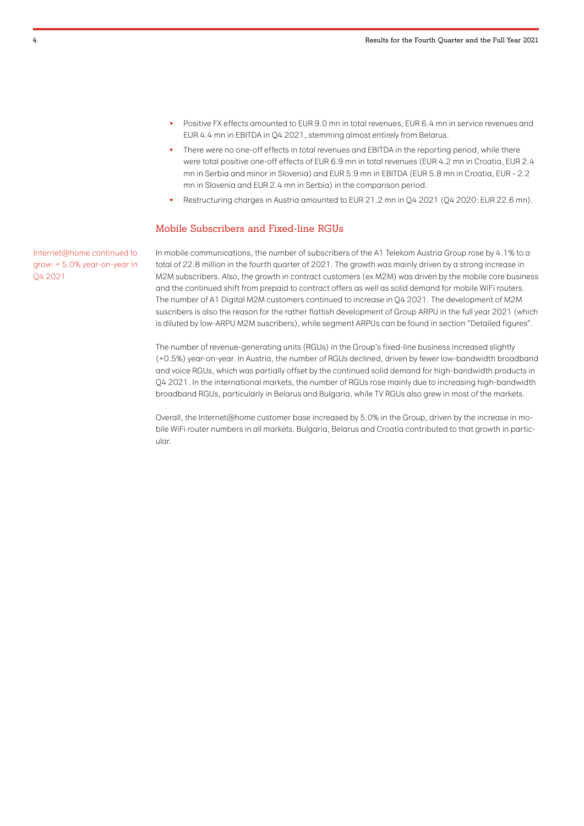- Positive FX effects amounted to EUR 9.0 mn in total revenues, EUR 6.4 mn in service revenues and EUR 4.4 mn in EBITDA in Q4 2021, stemming almost entirely from Belarus.
- There were no one-off effects in total revenues and EBITDA in the reporting period, while there were total positive one-off effects of EUR 6.9 mn in total revenues (EUR 4.2 mn in Croatia, EUR 2.4 mn in Serbia and minor in Slovenia) and EUR 5.9 mn in EBITDA (EUR 5.8 mn in Croatia, EUR – 2.2 mn in Slovenia and EUR 2.4 mn in Serbia) in the comparison period.
- Restructuring charges in Austria amounted to EUR 21.2 mn in Q4 2021 (Q4 2020: EUR 22.6 mn).

#### Mobile Subscribers and Fixed-line RGUs

Internet@home continued to grow: + 5.0% year-on-year in Q4 2021

In mobile communications, the number of subscribers of the A1 Telekom Austria Group rose by 4.1% to a total of 22.8 million in the fourth quarter of 2021. The growth was mainly driven by a strong increase in M2M subscribers. Also, the growth in contract customers (ex M2M) was driven by the mobile core business and the continued shift from prepaid to contract offers as well as solid demand for mobile WiFi routers. The number of A1 Digital M2M customers continued to increase in Q4 2021. The development of M2M suscribers is also the reason for the rather flattish development of Group ARPU in the full year 2021 (which is diluted by low-ARPU M2M suscribers), while segment ARPUs can be found in section "Detailed figures".

The number of revenue-generating units (RGUs) in the Group's fixed-line business increased slightly (+0.5%) year-on-year. In Austria, the number of RGUs declined, driven by fewer low-bandwidth broadband and voice RGUs, which was partially offset by the continued solid demand for high-bandwidth products in Q4 2021. In the international markets, the number of RGUs rose mainly due to increasing high-bandwidth broadband RGUs, particularly in Belarus and Bulgaria, while TV RGUs also grew in most of the markets.

Overall, the Internet@home customer base increased by 5.0% in the Group, driven by the increase in mobile WiFi router numbers in all markets. Bulgaria, Belarus and Croatia contributed to that growth in particular.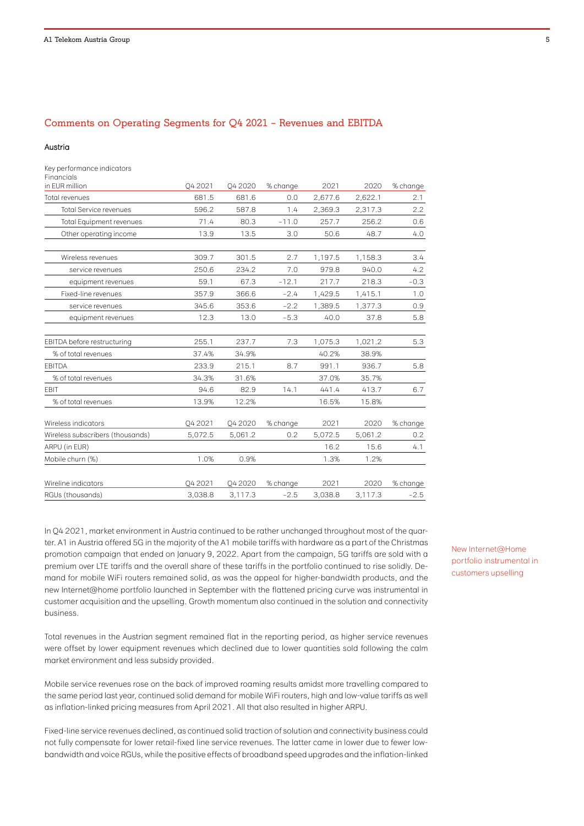### Comments on Operating Segments for Q4 2021 – Revenues and EBITDA

#### Austria

Key performance indicators Financials

| in EUR million                   | O4 2021 | <b>042020</b> | % change | 2021    | 2020    | % change |
|----------------------------------|---------|---------------|----------|---------|---------|----------|
| Total revenues                   | 681.5   | 681.6         | 0.0      | 2,677.6 | 2,622.1 | 2.1      |
| <b>Total Service revenues</b>    | 596.2   | 587.8         | 1.4      | 2,369.3 | 2,317.3 | 2.2      |
| <b>Total Equipment revenues</b>  | 71.4    | 80.3          | $-11.0$  | 257.7   | 256.2   | 0.6      |
| Other operating income           | 13.9    | 13.5          | 3.0      | 50.6    | 48.7    | 4.0      |
| Wireless revenues                | 309.7   | 301.5         | 2.7      | 1,197.5 | 1,158.3 | 3.4      |
| service revenues                 | 250.6   | 234.2         | 7.0      | 979.8   | 940.0   | 4.2      |
| equipment revenues               | 59.1    | 67.3          | $-12.1$  | 217.7   | 218.3   | $-0.3$   |
| Fixed-line revenues              | 357.9   | 366.6         | $-2.4$   | 1,429.5 | 1,415.1 | 1.0      |
| service revenues                 | 345.6   | 353.6         | $-2.2$   | 1,389.5 | 1,377.3 | 0.9      |
| equipment revenues               | 12.3    | 13.0          | $-5.3$   | 40.0    | 37.8    | 5.8      |
| EBITDA before restructuring      | 255.1   | 237.7         | 7.3      | 1,075.3 | 1,021.2 | 5.3      |
| % of total revenues              | 37.4%   | 34.9%         |          | 40.2%   | 38.9%   |          |
| <b>EBITDA</b>                    | 233.9   | 215.1         | 8.7      | 991.1   | 936.7   | 5.8      |
| % of total revenues              | 34.3%   | 31.6%         |          | 37.0%   | 35.7%   |          |
| <b>EBIT</b>                      | 94.6    | 82.9          | 14.1     | 441.4   | 413.7   | 6.7      |
| % of total revenues              | 13.9%   | 12.2%         |          | 16.5%   | 15.8%   |          |
| Wireless indicators              | O4 2021 | <b>042020</b> | % change | 2021    | 2020    | % change |
| Wireless subscribers (thousands) | 5,072.5 | 5,061.2       | 0.2      | 5,072.5 | 5,061.2 | 0.2      |
| ARPU (in EUR)                    |         |               |          | 16.2    | 15.6    | 4.1      |
| Mobile churn (%)                 | 1.0%    | 0.9%          |          | 1.3%    | 1.2%    |          |
| Wireline indicators              | Q4 2021 | Q4 2020       | % change | 2021    | 2020    | % change |
| RGUs (thousands)                 | 3.038.8 | 3,117.3       | $-2.5$   | 3.038.8 | 3,117.3 | $-2.5$   |

In Q4 2021, market environment in Austria continued to be rather unchanged throughout most of the quarter. A1 in Austria offered 5G in the majority of the A1 mobile tariffs with hardware as a part of the Christmas promotion campaign that ended on January 9, 2022. Apart from the campaign, 5G tariffs are sold with a premium over LTE tariffs and the overall share of these tariffs in the portfolio continued to rise solidly. Demand for mobile WiFi routers remained solid, as was the appeal for higher-bandwidth products, and the new Internet@home portfolio launched in September with the flattened pricing curve was instrumental in customer acquisition and the upselling. Growth momentum also continued in the solution and connectivity business.

Total revenues in the Austrian segment remained flat in the reporting period, as higher service revenues were offset by lower equipment revenues which declined due to lower quantities sold following the calm market environment and less subsidy provided.

Mobile service revenues rose on the back of improved roaming results amidst more travelling compared to the same period last year, continued solid demand for mobile WiFi routers, high and low-value tariffs as well as inflation-linked pricing measures from April 2021. All that also resulted in higher ARPU.

Fixed-line service revenues declined, as continued solid traction of solution and connectivity business could not fully compensate for lower retail-fixed line service revenues. The latter came in lower due to fewer lowbandwidth and voice RGUs, while the positive effects of broadband speed upgrades and the inflation-linked New Internet@Home portfolio instrumental in customers upselling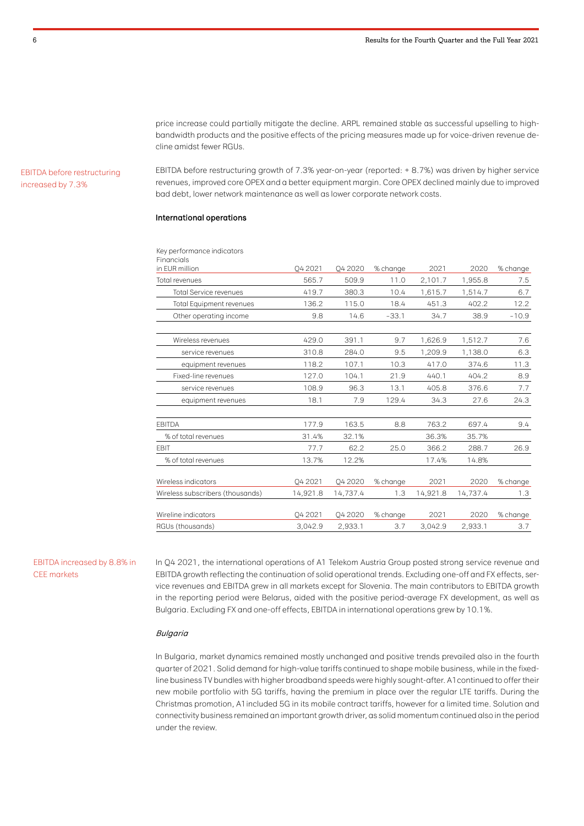price increase could partially mitigate the decline. ARPL remained stable as successful upselling to highbandwidth products and the positive effects of the pricing measures made up for voice-driven revenue decline amidst fewer RGUs.

#### EBITDA before restructuring increased by 7.3%

EBITDA before restructuring growth of 7.3% year-on-year (reported: + 8.7%) was driven by higher service revenues, improved core OPEX and a better equipment margin. Core OPEX declined mainly due to improved bad debt, lower network maintenance as well as lower corporate network costs.

#### International operations

Key performance indicators

| Financials<br>in EUR million     | O4 2021  | <b>042020</b> | % change | 2021     | 2020     | % change |
|----------------------------------|----------|---------------|----------|----------|----------|----------|
|                                  |          |               |          |          |          |          |
| Total revenues                   | 565.7    | 509.9         | 11.0     | 2,101.7  | 1,955.8  | 7.5      |
| <b>Total Service revenues</b>    | 419.7    | 380.3         | 10.4     | 1,615.7  | 1,514.7  | 6.7      |
| <b>Total Equipment revenues</b>  | 136.2    | 115.0         | 18.4     | 451.3    | 402.2    | 12.2     |
| Other operating income           | 9.8      | 14.6          | $-33.1$  | 34.7     | 38.9     | $-10.9$  |
| Wireless revenues                | 429.0    | 391.1         | 9.7      | 1,626.9  | 1,512.7  | 7.6      |
| service revenues                 | 310.8    | 284.0         | 9.5      | 1,209.9  | 1,138.0  | 6.3      |
| equipment revenues               | 118.2    | 107.1         | 10.3     | 417.0    | 374.6    | 11.3     |
| Fixed-line revenues              | 127.0    | 104.1         | 21.9     | 440.1    | 404.2    | 8.9      |
| service revenues                 | 108.9    | 96.3          | 13.1     | 405.8    | 376.6    | 7.7      |
| equipment revenues               | 18.1     | 7.9           | 129.4    | 34.3     | 27.6     | 24.3     |
| <b>EBITDA</b>                    | 177.9    | 163.5         | 8.8      | 763.2    | 697.4    | 9.4      |
| % of total revenues              | 31.4%    | 32.1%         |          | 36.3%    | 35.7%    |          |
| EBIT                             | 77.7     | 62.2          | 25.0     | 366.2    | 288.7    | 26.9     |
| % of total revenues              | 13.7%    | 12.2%         |          | 17.4%    | 14.8%    |          |
| Wireless indicators              | O4 2021  | <b>042020</b> | % change | 2021     | 2020     | % change |
| Wireless subscribers (thousands) | 14,921.8 | 14,737.4      | 1.3      | 14,921.8 | 14,737.4 | 1.3      |
| Wireline indicators              | O4 2021  | <b>042020</b> | % change | 2021     | 2020     | % change |
| RGUs (thousands)                 | 3.042.9  | 2,933.1       | 3.7      | 3.042.9  | 2.933.1  | 3.7      |

#### EBITDA increased by 8.8% in CEE markets

In Q4 2021, the international operations of A1 Telekom Austria Group posted strong service revenue and EBITDA growth reflecting the continuation of solid operational trends. Excluding one-off and FX effects, service revenues and EBITDA grew in all markets except for Slovenia. The main contributors to EBITDA growth in the reporting period were Belarus, aided with the positive period-average FX development, as well as Bulgaria. Excluding FX and one-off effects, EBITDA in international operations grew by 10.1%.

#### Bulgaria

In Bulgaria, market dynamics remained mostly unchanged and positive trends prevailed also in the fourth quarter of 2021. Solid demand for high-value tariffs continued to shape mobile business, while in the fixedline business TV bundles with higher broadband speeds were highly sought-after. A1continued to offer their new mobile portfolio with 5G tariffs, having the premium in place over the regular LTE tariffs. During the Christmas promotion, A1included 5G in its mobile contract tariffs, however for a limited time. Solution and connectivity business remained an important growth driver, as solid momentum continued also in the period under the review.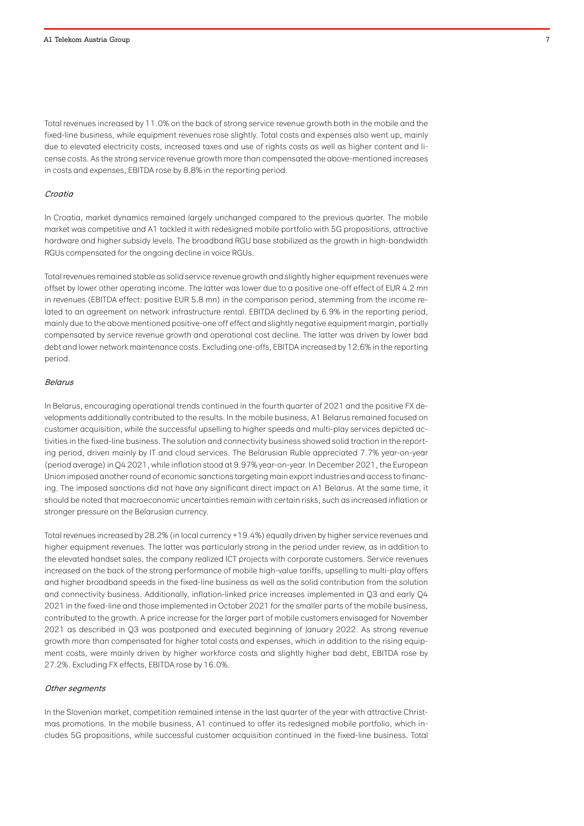Total revenues increased by 11.0% on the back of strong service revenue growth both in the mobile and the fixed-line business, while equipment revenues rose slightly. Total costs and expenses also went up, mainly due to elevated electricity costs, increased taxes and use of rights costs as well as higher content and license costs. As the strong service revenue growth more than compensated the above-mentioned increases in costs and expenses, EBITDA rose by 8.8% in the reporting period.

#### Croatia

In Croatia, market dynamics remained largely unchanged compared to the previous quarter. The mobile market was competitive and A1 tackled it with redesigned mobile portfolio with 5G propositions, attractive hardware and higher subsidy levels. The broadband RGU base stabilized as the growth in high-bandwidth RGUs compensated for the ongoing decline in voice RGUs.

Total revenues remained stable as solid service revenue growth and slightly higher equipment revenues were offset by lower other operating income. The latter was lower due to a positive one-off effect of EUR 4.2 mn in revenues (EBITDA effect: positive EUR 5.8 mn) in the comparison period, stemming from the income related to an agreement on network infrastructure rental. EBITDA declined by 6.9% in the reporting period, mainly due to the above mentioned positive-one off effect and slightly negative equipment margin, partially compensated by service revenue growth and operational cost decline. The latter was driven by lower bad debt and lower network maintenance costs. Excluding one-offs, EBITDA increased by 12.6% in the reporting period.

#### Belarus

In Belarus, encouraging operational trends continued in the fourth quarter of 2021 and the positive FX developments additionally contributed to the results. In the mobile business, A1 Belarus remained focused on customer acquisition, while the successful upselling to higher speeds and multi-play services depicted activities in the fixed-line business. The solution and connectivity business showed solid traction in the reporting period, driven mainly by IT and cloud services. The Belarusian Ruble appreciated 7.7% year-on-year (period average) in Q4 2021, while inflation stood at 9.97% year-on-year. In December 2021, the European Union imposed another round of economic sanctions targeting main export industries and access to financing. The imposed sanctions did not have any significant direct impact on A1 Belarus. At the same time, it should be noted that macroeconomic uncertainties remain with certain risks, such as increased inflation or stronger pressure on the Belarusian currency.

Total revenues increased by 28.2% (in local currency +19.4%) equally driven by higher service revenues and higher equipment revenues. The latter was particularly strong in the period under review, as in addition to the elevated handset sales, the company realized ICT projects with corporate customers. Service revenues increased on the back of the strong performance of mobile high-value tariffs, upselling to multi-play offers and higher broadband speeds in the fixed-line business as well as the solid contribution from the solution and connectivity business. Additionally, inflation-linked price increases implemented in Q3 and early Q4 2021 in the fixed-line and those implemented in October 2021 for the smaller parts of the mobile business, contributed to the growth. A price increase for the larger part of mobile customers envisaged for November 2021 as described in Q3 was postponed and executed beginning of January 2022. As strong revenue growth more than compensated for higher total costs and expenses, which in addition to the rising equipment costs, were mainly driven by higher workforce costs and slightly higher bad debt, EBITDA rose by 27.2%. Excluding FX effects, EBITDA rose by 16.0%.

#### Other segments

In the Slovenian market, competition remained intense in the last quarter of the year with attractive Christmas promotions. In the mobile business, A1 continued to offer its redesigned mobile portfolio, which includes 5G propositions, while successful customer acquisition continued in the fixed-line business. Total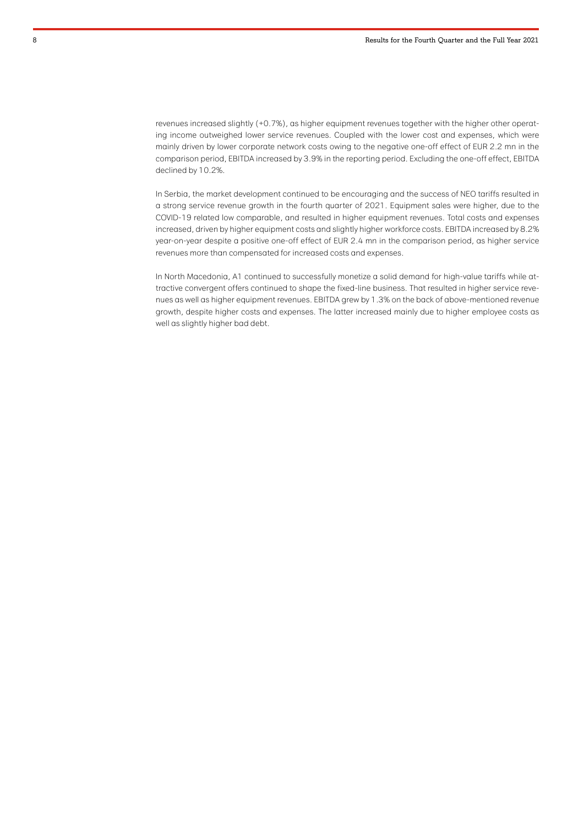revenues increased slightly (+0.7%), as higher equipment revenues together with the higher other operating income outweighed lower service revenues. Coupled with the lower cost and expenses, which were mainly driven by lower corporate network costs owing to the negative one-off effect of EUR 2.2 mn in the comparison period, EBITDA increased by 3.9% in the reporting period. Excluding the one-off effect, EBITDA declined by 10.2%.

In Serbia, the market development continued to be encouraging and the success of NEO tariffs resulted in a strong service revenue growth in the fourth quarter of 2021. Equipment sales were higher, due to the COVID-19 related low comparable, and resulted in higher equipment revenues. Total costs and expenses increased, driven by higher equipment costs and slightly higher workforce costs. EBITDA increased by 8.2% year-on-year despite a positive one-off effect of EUR 2.4 mn in the comparison period, as higher service revenues more than compensated for increased costs and expenses.

In North Macedonia, A1 continued to successfully monetize a solid demand for high-value tariffs while attractive convergent offers continued to shape the fixed-line business. That resulted in higher service revenues as well as higher equipment revenues. EBITDA grew by 1.3% on the back of above-mentioned revenue growth, despite higher costs and expenses. The latter increased mainly due to higher employee costs as well as slightly higher bad debt.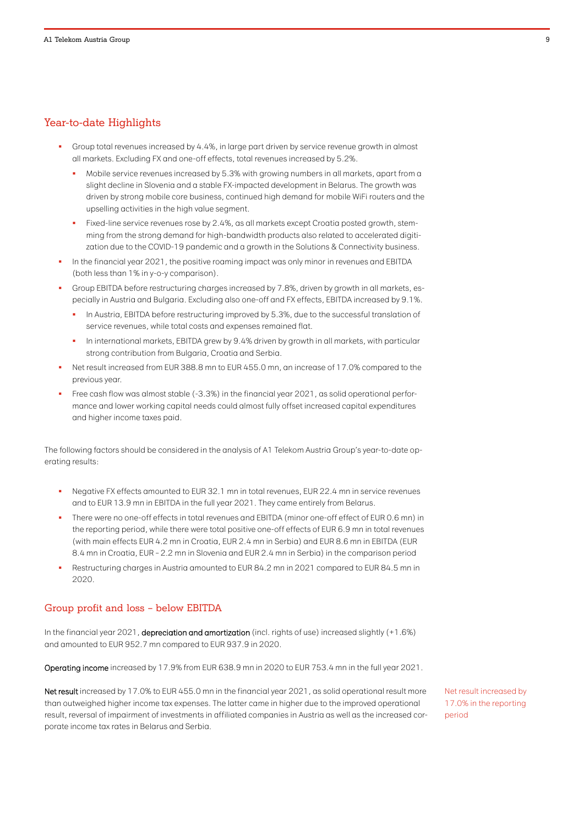# Year-to-date Highlights

- Group total revenues increased by 4.4%, in large part driven by service revenue growth in almost all markets. Excluding FX and one-off effects, total revenues increased by 5.2%.
	- Mobile service revenues increased by 5.3% with growing numbers in all markets, apart from a slight decline in Slovenia and a stable FX-impacted development in Belarus. The growth was driven by strong mobile core business, continued high demand for mobile WiFi routers and the upselling activities in the high value segment.
	- Fixed-line service revenues rose by 2.4%, as all markets except Croatia posted growth, stemming from the strong demand for high-bandwidth products also related to accelerated digitization due to the COVID-19 pandemic and a growth in the Solutions & Connectivity business.
- In the financial year 2021, the positive roaming impact was only minor in revenues and EBITDA (both less than 1% in y-o-y comparison).
- Group EBITDA before restructuring charges increased by 7.8%, driven by growth in all markets, especially in Austria and Bulgaria. Excluding also one-off and FX effects, EBITDA increased by 9.1%.
	- In Austria, EBITDA before restructuring improved by 5.3%, due to the successful translation of service revenues, while total costs and expenses remained flat.
	- In international markets, EBITDA grew by 9.4% driven by growth in all markets, with particular strong contribution from Bulgaria, Croatia and Serbia.
- Net result increased from EUR 388.8 mn to EUR 455.0 mn, an increase of 17.0% compared to the previous year.
- Free cash flow was almost stable (-3.3%) in the financial year 2021, as solid operational performance and lower working capital needs could almost fully offset increased capital expenditures and higher income taxes paid.

The following factors should be considered in the analysis of A1 Telekom Austria Group's year-to-date operating results:

- Negative FX effects amounted to EUR 32.1 mn in total revenues, EUR 22.4 mn in service revenues and to EUR 13.9 mn in EBITDA in the full year 2021. They came entirely from Belarus.
- There were no one-off effects in total revenues and EBITDA (minor one-off effect of EUR 0.6 mn) in the reporting period, while there were total positive one-off effects of EUR 6.9 mn in total revenues (with main effects EUR 4.2 mn in Croatia, EUR 2.4 mn in Serbia) and EUR 8.6 mn in EBITDA (EUR 8.4 mn in Croatia, EUR – 2.2 mn in Slovenia and EUR 2.4 mn in Serbia) in the comparison period
- Restructuring charges in Austria amounted to EUR 84.2 mn in 2021 compared to EUR 84.5 mn in 2020.

#### Group profit and loss – below EBITDA

In the financial year 2021, depreciation and amortization (incl. rights of use) increased slightly (+1.6%) and amounted to EUR 952.7 mn compared to EUR 937.9 in 2020.

Operating income increased by 17.9% from EUR 638.9 mn in 2020 to EUR 753.4 mn in the full year 2021.

Net result increased by 17.0% to EUR 455.0 mn in the financial year 2021, as solid operational result more than outweighed higher income tax expenses. The latter came in higher due to the improved operational result, reversal of impairment of investments in affiliated companies in Austria as well as the increased corporate income tax rates in Belarus and Serbia.

Net result increased by 17.0% in the reporting period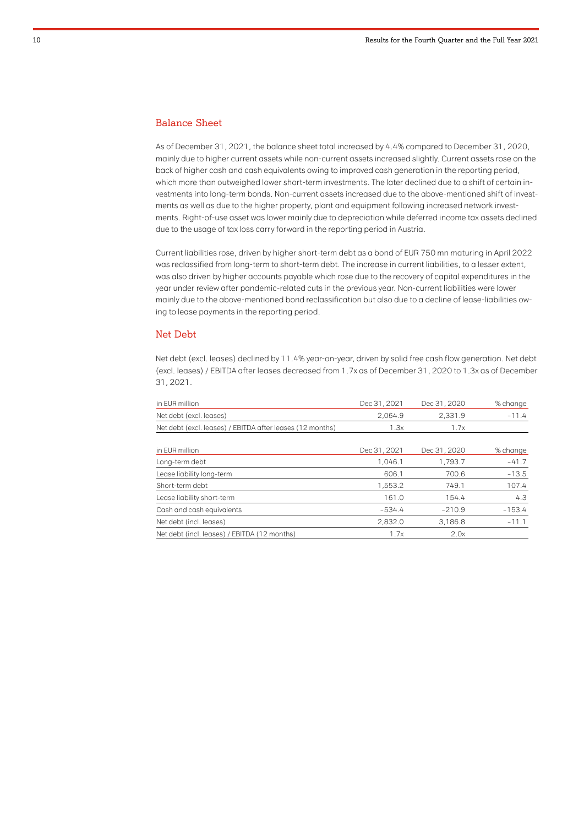## Balance Sheet

As of December 31, 2021, the balance sheet total increased by 4.4% compared to December 31, 2020, mainly due to higher current assets while non-current assets increased slightly. Current assets rose on the back of higher cash and cash equivalents owing to improved cash generation in the reporting period, which more than outweighed lower short-term investments. The later declined due to a shift of certain investments into long-term bonds. Non-current assets increased due to the above-mentioned shift of investments as well as due to the higher property, plant and equipment following increased network investments. Right-of-use asset was lower mainly due to depreciation while deferred income tax assets declined due to the usage of tax loss carry forward in the reporting period in Austria.

Current liabilities rose, driven by higher short-term debt as a bond of EUR 750 mn maturing in April 2022 was reclassified from long-term to short-term debt. The increase in current liabilities, to a lesser extent, was also driven by higher accounts payable which rose due to the recovery of capital expenditures in the year under review after pandemic-related cuts in the previous year. Non-current liabilities were lower mainly due to the above-mentioned bond reclassification but also due to a decline of lease-liabilities owing to lease payments in the reporting period.

#### Net Debt

Net debt (excl. leases) declined by 11.4% year-on-year, driven by solid free cash flow generation. Net debt (excl. leases) / EBITDA after leases decreased from 1.7x as of December 31, 2020 to 1.3x as of December 31, 2021.

| in EUR million                                            | Dec 31, 2021 | Dec 31, 2020 | % change |
|-----------------------------------------------------------|--------------|--------------|----------|
| Net debt (excl. leases)                                   | 2.064.9      | 2,331.9      | $-11.4$  |
| Net debt (excl. leases) / EBITDA after leases (12 months) | 1.3x         | 1.7x         |          |
| in EUR million                                            | Dec 31, 2021 | Dec 31, 2020 | % change |
| Long-term debt                                            | 1.046.1      | 1.793.7      | $-41.7$  |
| Lease liability long-term                                 | 606.1        | 700.6        | $-13.5$  |
| Short-term debt                                           | 1.553.2      | 749.1        | 107.4    |
| Lease liability short-term                                | 161.0        | 154.4        | 4.3      |
| Cash and cash equivalents                                 | $-534.4$     | $-210.9$     | $-153.4$ |
| Net debt (incl. leases)                                   | 2,832.0      | 3,186.8      | $-11.1$  |
| Net debt (incl. leases) / EBITDA (12 months)              | 1.7x         | 2.0x         |          |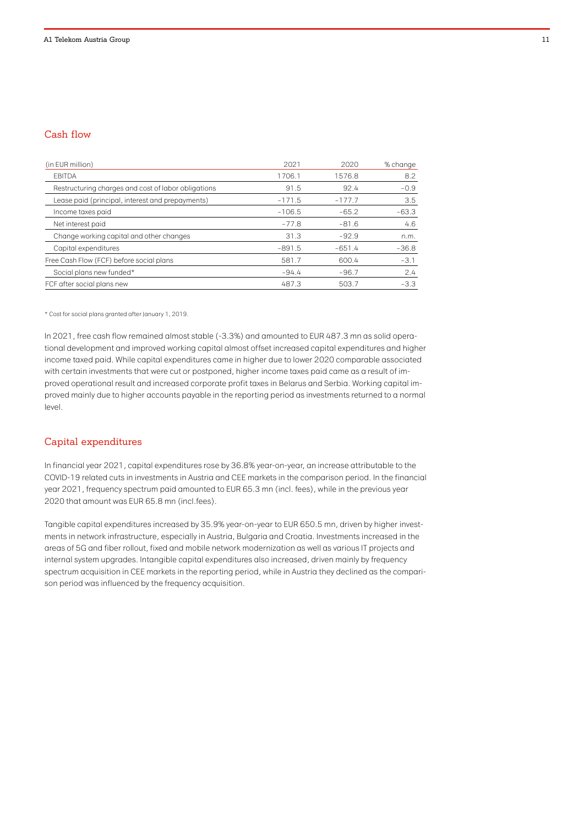# Cash flow

| (in EUR million)                                    | 2021     | 2020     | % change |
|-----------------------------------------------------|----------|----------|----------|
| <b>EBITDA</b>                                       | 1706.1   | 1576.8   | 8.2      |
| Restructuring charges and cost of labor obligations | 91.5     | 92.4     | $-0.9$   |
| Lease paid (principal, interest and prepayments)    | $-171.5$ | $-177.7$ | 3.5      |
| Income taxes paid                                   | $-106.5$ | $-65.2$  | $-63.3$  |
| Net interest paid                                   | $-77.8$  | $-81.6$  | 4.6      |
| Change working capital and other changes            | 31.3     | $-92.9$  | n.m.     |
| Capital expenditures                                | $-891.5$ | $-651.4$ | $-36.8$  |
| Free Cash Flow (FCF) before social plans            | 581.7    | 600.4    | $-3.1$   |
| Social plans new funded*                            | $-94.4$  | $-96.7$  | 2.4      |
| FCF after social plans new                          | 487.3    | 503.7    | $-3.3$   |

\* Cost for social plans granted after January 1, 2019.

In 2021, free cash flow remained almost stable (-3.3%) and amounted to EUR 487.3 mn as solid operational development and improved working capital almost offset increased capital expenditures and higher income taxed paid. While capital expenditures came in higher due to lower 2020 comparable associated with certain investments that were cut or postponed, higher income taxes paid came as a result of improved operational result and increased corporate profit taxes in Belarus and Serbia. Working capital improved mainly due to higher accounts payable in the reporting period as investments returned to a normal level.

#### Capital expenditures

In financial year 2021, capital expenditures rose by 36.8% year-on-year, an increase attributable to the COVID-19 related cuts in investments in Austria and CEE markets in the comparison period. In the financial year 2021, frequency spectrum paid amounted to EUR 65.3 mn (incl. fees), while in the previous year 2020 that amount was EUR 65.8 mn (incl.fees).

Tangible capital expenditures increased by 35.9% year-on-year to EUR 650.5 mn, driven by higher investments in network infrastructure, especially in Austria, Bulgaria and Croatia. Investments increased in the areas of 5G and fiber rollout, fixed and mobile network modernization as well as various IT projects and internal system upgrades. Intangible capital expenditures also increased, driven mainly by frequency spectrum acquisition in CEE markets in the reporting period, while in Austria they declined as the comparison period was influenced by the frequency acquisition.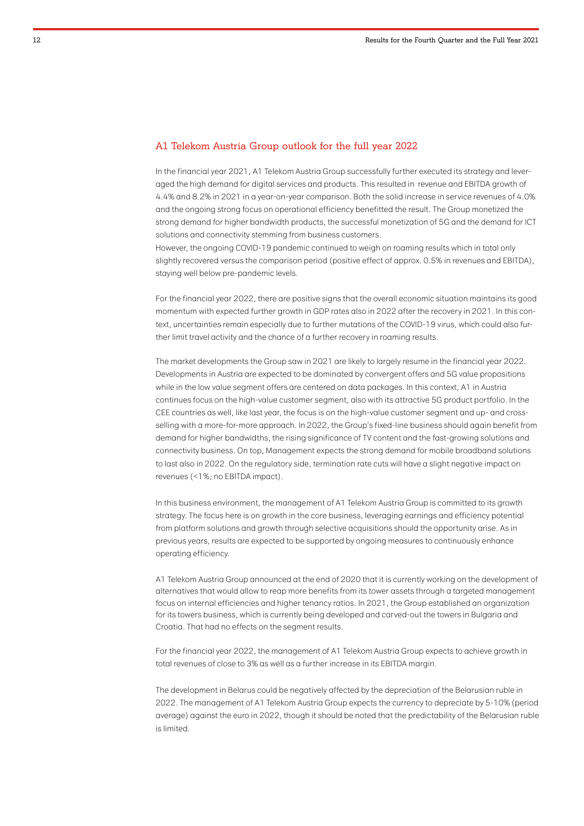#### A1 Telekom Austria Group outlook for the full year 2022

In the financial year 2021, A1 Telekom Austria Group successfully further executed its strategy and leveraged the high demand for digital services and products. This resulted in revenue and EBITDA growth of 4.4% and 8.2% in 2021 in a year-on-year comparison. Both the solid increase in service revenues of 4.0% and the ongoing strong focus on operational efficiency benefitted the result. The Group monetized the strong demand for higher bandwidth products, the successful monetization of 5G and the demand for ICT solutions and connectivity stemming from business customers.

However, the ongoing COVID-19 pandemic continued to weigh on roaming results which in total only slightly recovered versus the comparison period (positive effect of approx. 0.5% in revenues and EBITDA), staying well below pre-pandemic levels.

For the financial year 2022, there are positive signs that the overall economic situation maintains its good momentum with expected further growth in GDP rates also in 2022 after the recovery in 2021. In this context, uncertainties remain especially due to further mutations of the COVID-19 virus, which could also further limit travel activity and the chance of a further recovery in roaming results.

The market developments the Group saw in 2021 are likely to largely resume in the financial year 2022. Developments in Austria are expected to be dominated by convergent offers and 5G value propositions while in the low value segment offers are centered on data packages. In this context, A1 in Austria continues focus on the high-value customer segment, also with its attractive 5G product portfolio. In the CEE countries as well, like last year, the focus is on the high-value customer segment and up- and crossselling with a more-for-more approach. In 2022, the Group's fixed-line business should again benefit from demand for higher bandwidths, the rising significance of TV content and the fast-growing solutions and connectivity business. On top, Management expects the strong demand for mobile broadband solutions to last also in 2022. On the regulatory side, termination rate cuts will have a slight negative impact on revenues (<1%; no EBITDA impact).

In this business environment, the management of A1 Telekom Austria Group is committed to its growth strategy. The focus here is on growth in the core business, leveraging earnings and efficiency potential from platform solutions and growth through selective acquisitions should the opportunity arise. As in previous years, results are expected to be supported by ongoing measures to continuously enhance operating efficiency.

A1 Telekom Austria Group announced at the end of 2020 that it is currently working on the development of alternatives that would allow to reap more benefits from its tower assets through a targeted management focus on internal efficiencies and higher tenancy ratios. In 2021, the Group established an organization for its towers business, which is currently being developed and carved-out the towers in Bulgaria and Croatia. That had no effects on the segment results.

For the financial year 2022, the management of A1 Telekom Austria Group expects to achieve growth in total revenues of close to 3% as well as a further increase in its EBITDA margin.

The development in Belarus could be negatively affected by the depreciation of the Belarusian ruble in 2022. The management of A1 Telekom Austria Group expects the currency to depreciate by 5-10% (period average) against the euro in 2022, though it should be noted that the predictability of the Belarusian ruble is limited.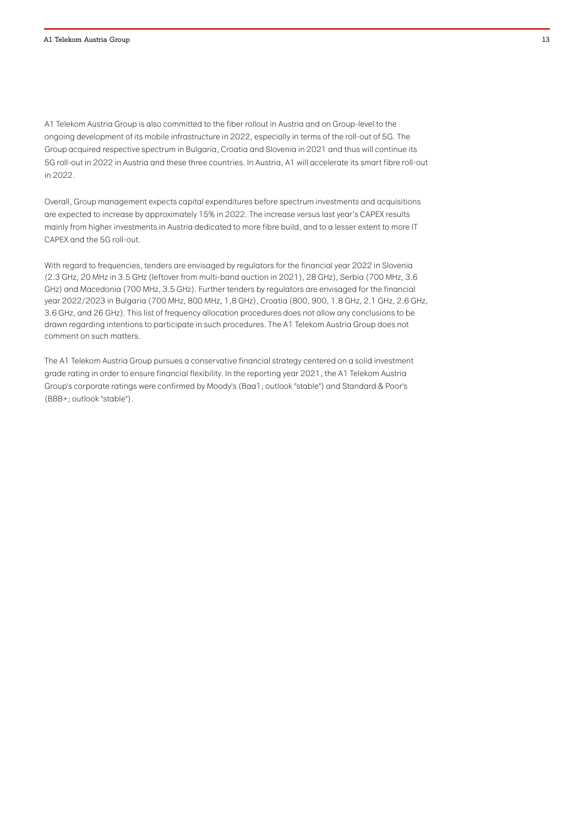A1 Telekom Austria Group is also committed to the fiber rollout in Austria and on Group-level to the ongoing development of its mobile infrastructure in 2022, especially in terms of the roll-out of 5G. The Group acquired respective spectrum in Bulgaria, Croatia and Slovenia in 2021 and thus will continue its 5G roll-out in 2022 in Austria and these three countries. In Austria, A1 will accelerate its smart fibre roll-out in 2022.

Overall, Group management expects capital expenditures before spectrum investments and acquisitions are expected to increase by approximately 15% in 2022. The increase versus last year's CAPEX results mainly from higher investments in Austria dedicated to more fibre build, and to a lesser extent to more IT CAPEX and the 5G roll-out.

With regard to frequencies, tenders are envisaged by regulators for the financial year 2022 in Slovenia (2.3 GHz, 20 MHz in 3.5 GHz (leftover from multi-band auction in 2021), 28 GHz), Serbia (700 MHz, 3.6 GHz) and Macedonia (700 MHz, 3.5 GHz). Further tenders by regulators are envisaged for the financial year 2022/2023 in Bulgaria (700 MHz, 800 MHz, 1,8 GHz), Croatia (800, 900, 1.8 GHz, 2.1 GHz, 2.6 GHz, 3.6 GHz, and 26 GHz). This list of frequency allocation procedures does not allow any conclusions to be drawn regarding intentions to participate in such procedures. The A1 Telekom Austria Group does not comment on such matters.

The A1 Telekom Austria Group pursues a conservative financial strategy centered on a solid investment grade rating in order to ensure financial flexibility. In the reporting year 2021, the A1 Telekom Austria Group's corporate ratings were confirmed by Moody's (Baa1; outlook "stable") and Standard & Poor's (BBB+; outlook "stable").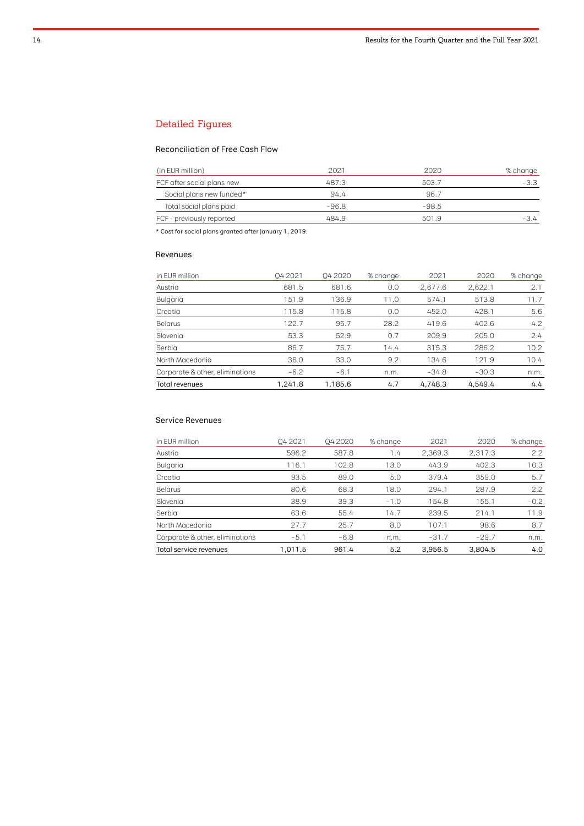# Detailed Figures

## Reconciliation of Free Cash Flow

| (in EUR million)           | 2021  | 2020    | % change |
|----------------------------|-------|---------|----------|
| FCF after social plans new | 487.3 | 503.7   | -3.3     |
| Social plans new funded*   | 94.4  | 96.7    |          |
| Total social plans paid    | -96.8 | $-98.5$ |          |
| FCF - previously reported  | 484.9 | 501.9   | -3.4     |

\* Cost for social plans granted after January 1, 2019.

#### Revenues

| in EUR million                  | Q4 2021 | <b>042020</b> | % change | 2021    | 2020    | % change |
|---------------------------------|---------|---------------|----------|---------|---------|----------|
| Austria                         | 681.5   | 681.6         | 0.0      | 2,677.6 | 2,622.1 | 2.1      |
| Bulgaria                        | 151.9   | 136.9         | 11.0     | 574.1   | 513.8   | 11.7     |
| Croatia                         | 115.8   | 115.8         | 0.0      | 452.0   | 428.1   | 5.6      |
| <b>Belarus</b>                  | 122.7   | 95.7          | 28.2     | 419.6   | 402.6   | 4.2      |
| Slovenia                        | 53.3    | 52.9          | 0.7      | 209.9   | 205.0   | 2.4      |
| Serbia                          | 86.7    | 75.7          | 14.4     | 315.3   | 286.2   | 10.2     |
| North Macedonia                 | 36.0    | 33.0          | 9.2      | 134.6   | 121.9   | 10.4     |
| Corporate & other, eliminations | $-6.2$  | $-6.1$        | n.m.     | $-34.8$ | $-30.3$ | n.m.     |
| <b>Total revenues</b>           | 1,241.8 | 1,185.6       | 4.7      | 4,748.3 | 4,549.4 | 4.4      |

# Service Revenues

| Austria                         | 596.2   | 587.8  | 1.4    | 2,369.3 | 2,317.3 | 2.2           |
|---------------------------------|---------|--------|--------|---------|---------|---------------|
| Bulgaria                        | 116.1   | 102.8  | 13.0   | 443.9   | 402.3   | 10.3          |
| Croatia                         | 93.5    | 89.0   | 5.0    | 379.4   | 359.0   | 5.7           |
| <b>Belarus</b>                  | 80.6    | 68.3   | 18.0   | 294.1   | 287.9   | $2.2^{\circ}$ |
| Slovenia                        | 38.9    | 39.3   | $-1.0$ | 154.8   | 155.1   | $-0.2$        |
| Serbia                          | 63.6    | 55.4   | 14.7   | 239.5   | 214.1   | 11.9          |
| North Macedonia                 | 27.7    | 25.7   | 8.0    | 107.1   | 98.6    | 8.7           |
| Corporate & other, eliminations | $-5.1$  | $-6.8$ | n.m.   | $-31.7$ | $-29.7$ | n.m.          |
| Total service revenues          | 1.011.5 | 961.4  | 5.2    | 3.956.5 | 3.804.5 | 4.0           |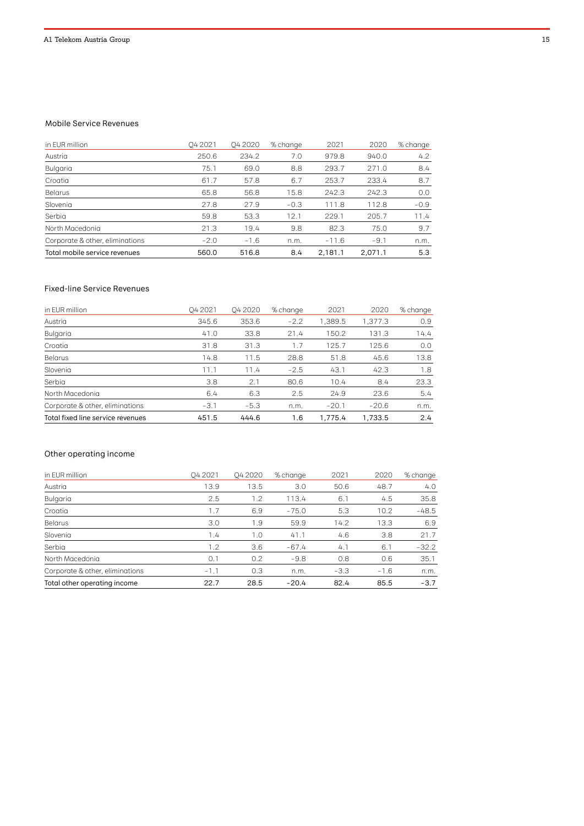#### Mobile Service Revenues

| in EUR million                  | O4 2021 | Q4 2020 | % change | 2021    | 2020    | % change      |
|---------------------------------|---------|---------|----------|---------|---------|---------------|
| Austria                         | 250.6   | 234.2   | 7.0      | 979.8   | 940.0   | $4.2^{\circ}$ |
| Bulgaria                        | 75.1    | 69.0    | 8.8      | 293.7   | 271.0   | 8.4           |
| Croatia                         | 61.7    | 57.8    | 6.7      | 253.7   | 233.4   | 8.7           |
| Belarus                         | 65.8    | 56.8    | 15.8     | 242.3   | 242.3   | 0.0           |
| Slovenia                        | 27.8    | 27.9    | $-0.3$   | 111.8   | 112.8   | $-0.9$        |
| Serbia                          | 59.8    | 53.3    | 12.1     | 229.1   | 205.7   | 11.4          |
| North Macedonia                 | 21.3    | 19.4    | 9.8      | 82.3    | 75.0    | 9.7           |
| Corporate & other, eliminations | $-2.0$  | $-1.6$  | n.m.     | $-11.6$ | $-9.1$  | n.m.          |
| Total mobile service revenues   | 560.0   | 516.8   | 8.4      | 2.181.1 | 2.071.1 | 5.3           |

## Fixed-line Service Revenues

| in EUR million                    | O4 2021 | <b>042020</b> | % change | 2021    | 2020    | % change |
|-----------------------------------|---------|---------------|----------|---------|---------|----------|
| Austria                           | 345.6   | 353.6         | $-2.2$   | 1,389.5 | 1,377.3 | 0.9      |
| Bulgaria                          | 41.0    | 33.8          | 21.4     | 150.2   | 131.3   | 14.4     |
| Croatia                           | 31.8    | 31.3          | 1.7      | 125.7   | 125.6   | 0.0      |
| Belarus                           | 14.8    | 11.5          | 28.8     | 51.8    | 45.6    | 13.8     |
| Slovenia                          | 11.1    | 11.4          | $-2.5$   | 43.1    | 42.3    | 1.8      |
| Serbia                            | 3.8     | 2.1           | 80.6     | 10.4    | 8.4     | 23.3     |
| North Macedonia                   | 6.4     | 6.3           | 2.5      | 24.9    | 23.6    | 5.4      |
| Corporate & other, eliminations   | $-3.1$  | $-5.3$        | n.m.     | $-20.1$ | $-20.6$ | n.m.     |
| Total fixed line service revenues | 451.5   | 444.6         | 1.6      | 1.775.4 | 1.733.5 | 2.4      |

# Other operating income

| in EUR million                  | O4 2021 | <b>042020</b> | % change | 2021   | 2020   | % change |
|---------------------------------|---------|---------------|----------|--------|--------|----------|
| Austria                         | 13.9    | 13.5          | 3.0      | 50.6   | 48.7   | 4.0      |
| Bulgaria                        | 2.5     | 1.2           | 113.4    | 6.1    | 4.5    | 35.8     |
| Croatia                         | 1.7     | 6.9           | $-75.0$  | 5.3    | 10.2   | $-48.5$  |
| Belarus                         | 3.0     | 1.9           | 59.9     | 14.2   | 13.3   | 6.9      |
| Slovenia                        | 1.4     | 1.0           | 41.1     | 4.6    | 3.8    | 21.7     |
| Serbia                          | 1.2     | 3.6           | $-67.4$  | 4.1    | 6.1    | $-32.2$  |
| North Macedonia                 | 0.1     | 0.2           | $-9.8$   | 0.8    | 0.6    | 35.1     |
| Corporate & other, eliminations | $-1.1$  | 0.3           | n.m.     | $-3.3$ | $-1.6$ | n.m.     |
| Total other operating income    | 22.7    | 28.5          | $-20.4$  | 82.4   | 85.5   | $-3.7$   |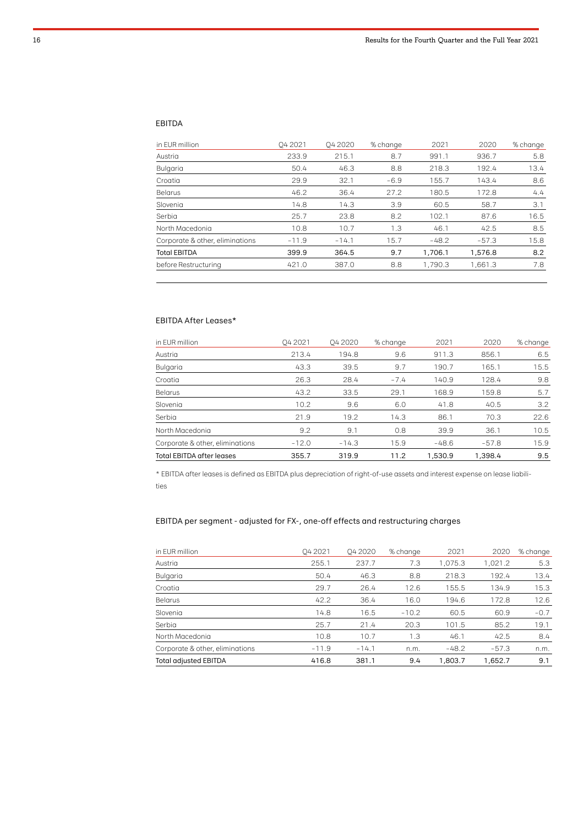#### EBITDA

| in EUR million                  | 04 2021 | <b>042020</b> | % change | 2021    | 2020    | % change |
|---------------------------------|---------|---------------|----------|---------|---------|----------|
| Austria                         | 233.9   | 215.1         | 8.7      | 991.1   | 936.7   | 5.8      |
| Bulgaria                        | 50.4    | 46.3          | 8.8      | 218.3   | 192.4   | 13.4     |
| Croatia                         | 29.9    | 32.1          | $-6.9$   | 155.7   | 143.4   | 8.6      |
| <b>Belarus</b>                  | 46.2    | 36.4          | 27.2     | 180.5   | 172.8   | 4.4      |
| Slovenia                        | 14.8    | 14.3          | 3.9      | 60.5    | 58.7    | 3.1      |
| Serbia                          | 25.7    | 23.8          | 8.2      | 102.1   | 87.6    | 16.5     |
| North Macedonia                 | 10.8    | 10.7          | 1.3      | 46.1    | 42.5    | 8.5      |
| Corporate & other, eliminations | $-11.9$ | $-14.1$       | 15.7     | $-48.2$ | $-57.3$ | 15.8     |
| <b>Total EBITDA</b>             | 399.9   | 364.5         | 9.7      | 1.706.1 | 1,576.8 | 8.2      |
| before Restructurina            | 421.0   | 387.0         | 8.8      | 1.790.3 | 1,661.3 | 7.8      |
|                                 |         |               |          |         |         |          |

## EBITDA After Leases\*

| in EUR million                   | 04 2021 | <b>042020</b> | % change | 2021    | 2020    | % change |
|----------------------------------|---------|---------------|----------|---------|---------|----------|
| Austria                          | 213.4   | 194.8         | 9.6      | 911.3   | 856.1   | 6.5      |
| Bulgaria                         | 43.3    | 39.5          | 9.7      | 190.7   | 165.1   | 15.5     |
| Croatia                          | 26.3    | 28.4          | $-7.4$   | 140.9   | 128.4   | 9.8      |
| <b>Belarus</b>                   | 43.2    | 33.5          | 29.1     | 168.9   | 159.8   | 5.7      |
| Slovenia                         | 10.2    | 9.6           | 6.0      | 41.8    | 40.5    | 3.2      |
| Serbia                           | 21.9    | 19.2          | 14.3     | 86.1    | 70.3    | 22.6     |
| North Macedonia                  | 9.2     | 9.1           | 0.8      | 39.9    | 36.1    | 10.5     |
| Corporate & other, eliminations  | $-12.0$ | $-14.3$       | 15.9     | $-48.6$ | $-57.8$ | 15.9     |
| <b>Total EBITDA after leases</b> | 355.7   | 319.9         | 11.2     | 1.530.9 | 1.398.4 | 9.5      |

\* EBITDA after leases is defined as EBITDA plus depreciation of right-of-use assets and interest expense on lease liabilities

# EBITDA per segment - adjusted for FX-, one-off effects and restructuring charges

| in EUR million                  | O4 2021 | 04 20 20 | % change | 2021    | 2020    | % change |
|---------------------------------|---------|----------|----------|---------|---------|----------|
| Austria                         | 255.1   | 237.7    | 7.3      | 1,075.3 | 1,021.2 | 5.3      |
| Bulgaria                        | 50.4    | 46.3     | 8.8      | 218.3   | 192.4   | 13.4     |
| Croatia                         | 29.7    | 26.4     | 12.6     | 155.5   | 134.9   | 15.3     |
| Belarus                         | 42.2    | 36.4     | 16.0     | 194.6   | 172.8   | 12.6     |
| Slovenia                        | 14.8    | 16.5     | $-10.2$  | 60.5    | 60.9    | $-0.7$   |
| Serbia                          | 25.7    | 21.4     | 20.3     | 101.5   | 85.2    | 19.1     |
| North Macedonia                 | 10.8    | 10.7     | 1.3      | 46.1    | 42.5    | 8.4      |
| Corporate & other, eliminations | $-11.9$ | $-14.1$  | n.m.     | $-48.2$ | $-57.3$ | n.m.     |
| Total adjusted EBITDA           | 416.8   | 381.1    | 9.4      | 1,803.7 | 1,652.7 | 9.1      |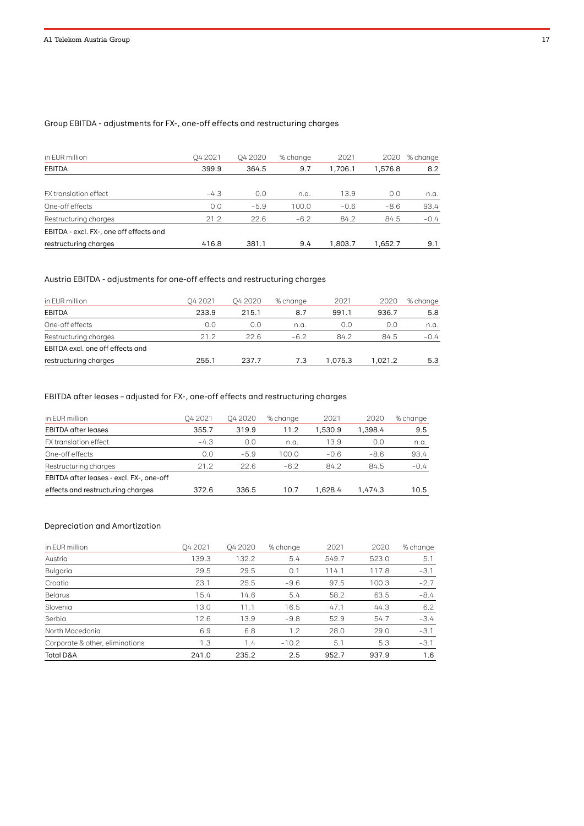# Group EBITDA - adjustments for FX-, one-off effects and restructuring charges

| in EUR million                          | 04 2021 | 04 20 20 | % change | 2021    | 2020    | % change |
|-----------------------------------------|---------|----------|----------|---------|---------|----------|
| <b>EBITDA</b>                           | 399.9   | 364.5    | 9.7      | 1.706.1 | 1.576.8 | 8.2      |
|                                         |         |          |          |         |         |          |
| FX translation effect                   | $-4.3$  | 0.0      | n.a.     | 13.9    | 0.0     | n.a.     |
| One-off effects                         | 0.0     | $-5.9$   | 100.0    | $-0.6$  | $-8.6$  | 93.4     |
| Restructuring charges                   | 21.2    | 22.6     | $-6.2$   | 84.2    | 84.5    | $-0.4$   |
| EBITDA - excl. FX-, one off effects and |         |          |          |         |         |          |
| restructuring charges                   | 416.8   | 381.1    | 9.4      | 1.803.7 | 1.652.7 | 9.1      |

# Austria EBITDA - adjustments for one-off effects and restructuring charges

| in EUR million                   | 04 2021 | Q4 2020 | % change | 2021    | 2020    | % change |
|----------------------------------|---------|---------|----------|---------|---------|----------|
| <b>EBITDA</b>                    | 233.9   | 215.1   | 8.7      | 991.1   | 936.7   | 5.8      |
| One-off effects                  | 0.0     | 0.0     | n.a.     | 0.0     | 0.0     | n.a.     |
| Restructuring charges            | 21.2    | 22.6    | $-6.2$   | 84.2    | 84.5    | $-0.4$   |
| EBITDA excl. one off effects and |         |         |          |         |         |          |
| restructuring charges            | 255.1   | 237.7   | 7.3      | 1.075.3 | 1.021.2 | 5.3      |

# EBITDA after leases – adjusted for FX-, one-off effects and restructuring charges

| in EUR million                           | 04 2021 | 04 2020 | % change | 2021    | 2020    | % change |
|------------------------------------------|---------|---------|----------|---------|---------|----------|
| <b>EBITDA</b> after leases               | 355.7   | 319.9   | 11.2     | 1.530.9 | 1.398.4 | 9.5      |
| FX translation effect                    | $-4.3$  | 0.0     | n.a.     | 13.9    | 0.0     | n.a.     |
| One-off effects                          | 0.0     | $-5.9$  | 100.0    | $-0.6$  | $-8.6$  | 93.4     |
| Restructuring charges                    | 21.2    | 22.6    | $-6.2$   | 84.2    | 84.5    | $-0.4$   |
| EBITDA after leases - excl. FX-, one-off |         |         |          |         |         |          |
| effects and restructuring charges        | 372.6   | 336.5   | 10.7     | 1.628.4 | 1.474.3 | 10.5     |

# Depreciation and Amortization

| in EUR million                  | O <sub>4</sub> 2021 | <b>042020</b> | % change | 2021  | 2020  | % change |
|---------------------------------|---------------------|---------------|----------|-------|-------|----------|
| Austria                         | 139.3               | 132.2         | 5.4      | 549.7 | 523.0 | 5.1      |
| Bulgaria                        | 29.5                | 29.5          | 0.1      | 114.1 | 117.8 | $-3.1$   |
| Croatia                         | 23.1                | 25.5          | $-9.6$   | 97.5  | 100.3 | $-2.7$   |
| Belarus                         | 15.4                | 14.6          | 5.4      | 58.2  | 63.5  | $-8.4$   |
| Slovenia                        | 13.0                | 11.1          | 16.5     | 47.1  | 44.3  | 6.2      |
| Serbia                          | 12.6                | 13.9          | $-9.8$   | 52.9  | 54.7  | $-3.4$   |
| North Macedonia                 | 6.9                 | 6.8           | 1.2      | 28.0  | 29.0  | $-3.1$   |
| Corporate & other, eliminations | 1.3                 | 1.4           | $-10.2$  | 5.1   | 5.3   | $-3.1$   |
| <b>Total D&amp;A</b>            | 241.0               | 235.2         | 2.5      | 952.7 | 937.9 | 1.6      |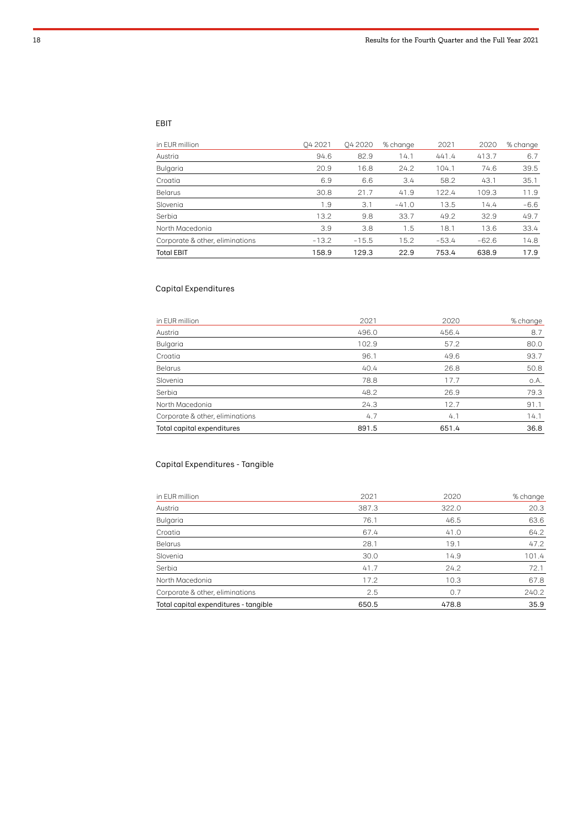# EBIT

| in EUR million                  | O4 2021 | <b>042020</b> | % change | 2021    | 2020    | % change |
|---------------------------------|---------|---------------|----------|---------|---------|----------|
| Austria                         | 94.6    | 82.9          | 14.1     | 441.4   | 413.7   | 6.7      |
| Bulgaria                        | 20.9    | 16.8          | 24.2     | 104.1   | 74.6    | 39.5     |
| Croatia                         | 6.9     | 6.6           | 3.4      | 58.2    | 43.1    | 35.1     |
| <b>Belarus</b>                  | 30.8    | 21.7          | 41.9     | 122.4   | 109.3   | 11.9     |
| Slovenia                        | 1.9     | 3.1           | $-41.0$  | 13.5    | 14.4    | $-6.6$   |
| Serbia                          | 13.2    | 9.8           | 33.7     | 49.2    | 32.9    | 49.7     |
| North Macedonia                 | 3.9     | 3.8           | 1.5      | 18.1    | 13.6    | 33.4     |
| Corporate & other, eliminations | $-13.2$ | $-15.5$       | 15.2     | $-53.4$ | $-62.6$ | 14.8     |
| <b>Total EBIT</b>               | 158.9   | 129.3         | 22.9     | 753.4   | 638.9   | 17.9     |

# Capital Expenditures

| in EUR million                  | 2021  | 2020  | % change |
|---------------------------------|-------|-------|----------|
| Austria                         | 496.0 | 456.4 | 8.7      |
| Bulgaria                        | 102.9 | 57.2  | 80.0     |
| Croatia                         | 96.1  | 49.6  | 93.7     |
| <b>Belarus</b>                  | 40.4  | 26.8  | 50.8     |
| Slovenia                        | 78.8  | 17.7  | o.A.     |
| Serbia                          | 48.2  | 26.9  | 79.3     |
| North Macedonia                 | 24.3  | 12.7  | 91.1     |
| Corporate & other, eliminations | 4.7   | 4.1   | 14.1     |
| Total capital expenditures      | 891.5 | 651.4 | 36.8     |

# Capital Expenditures - Tangible

| Total capital expenditures - tangible | 650.5 | 478.8 | 35.9     |
|---------------------------------------|-------|-------|----------|
| Corporate & other, eliminations       | 2.5   | 0.7   | 240.2    |
| North Macedonia                       | 17.2  | 10.3  | 67.8     |
| Serbia                                | 41.7  | 24.2  | 72.1     |
| Slovenia                              | 30.0  | 14.9  | 101.4    |
| <b>Belarus</b>                        | 28.1  | 19.1  | 47.2     |
| Croatia                               | 67.4  | 41.0  | 64.2     |
| Bulgaria                              | 76.1  | 46.5  | 63.6     |
| Austria                               | 387.3 | 322.0 | 20.3     |
| in EUR million                        | 2021  | 2020  | % change |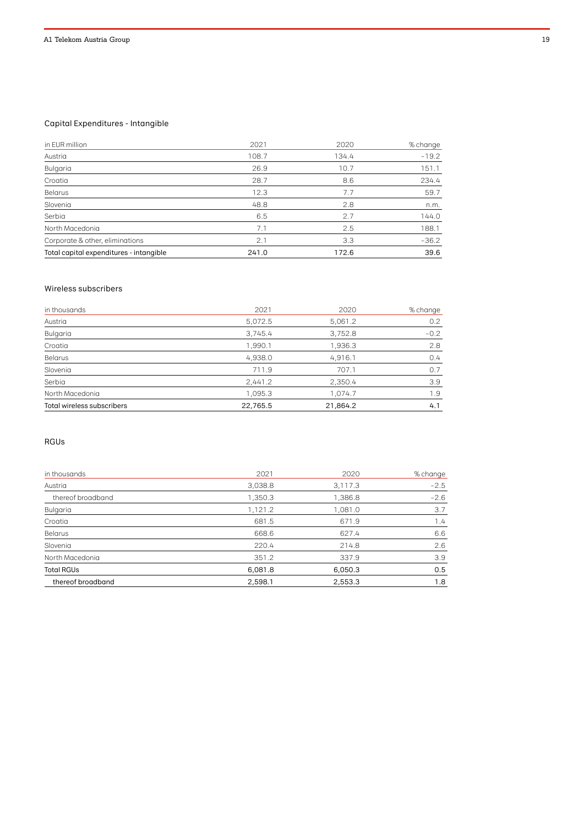# Capital Expenditures - Intangible

| in EUR million                          | 2021  | 2020  | % change |
|-----------------------------------------|-------|-------|----------|
| Austria                                 | 108.7 | 134.4 | $-19.2$  |
| Bulgaria                                | 26.9  | 10.7  | 151.1    |
| Croatia                                 | 28.7  | 8.6   | 234.4    |
| Belarus                                 | 12.3  | 7.7   | 59.7     |
| Slovenia                                | 48.8  | 2.8   | n.m.     |
| Serbia                                  | 6.5   | 2.7   | 144.0    |
| North Macedonia                         | 7.1   | 2.5   | 188.1    |
| Corporate & other, eliminations         | 2.1   | 3.3   | $-36.2$  |
| Total capital expenditures - intangible | 241.0 | 172.6 | 39.6     |

#### Wireless subscribers

| in thousands               | 2021     | 2020     | % change |
|----------------------------|----------|----------|----------|
| Austria                    | 5,072.5  | 5,061.2  | 0.2      |
| Bulgaria                   | 3,745.4  | 3,752.8  | $-0.2$   |
| Croatia                    | 1,990.1  | 1,936.3  | 2.8      |
| <b>Belarus</b>             | 4,938.0  | 4,916.1  | 0.4      |
| Slovenia                   | 711.9    | 707.1    | 0.7      |
| Serbia                     | 2,441.2  | 2,350.4  | 3.9      |
| North Macedonia            | 1,095.3  | 1,074.7  | 1.9      |
| Total wireless subscribers | 22,765.5 | 21,864.2 | 4.1      |

# RGUs

| in thousands      | 2021    | 2020    | % change |
|-------------------|---------|---------|----------|
| Austria           | 3,038.8 | 3,117.3 | $-2.5$   |
| thereof broadband | 1,350.3 | 1,386.8 | $-2.6$   |
| Bulgaria          | 1,121.2 | 1,081.0 | 3.7      |
| Croatia           | 681.5   | 671.9   | 1.4      |
| <b>Belarus</b>    | 668.6   | 627.4   | 6.6      |
| Slovenia          | 220.4   | 214.8   | 2.6      |
| North Macedonia   | 351.2   | 337.9   | 3.9      |
| <b>Total RGUs</b> | 6,081.8 | 6,050.3 | 0.5      |
| thereof broadband | 2,598.1 | 2,553.3 | 1.8      |
|                   |         |         |          |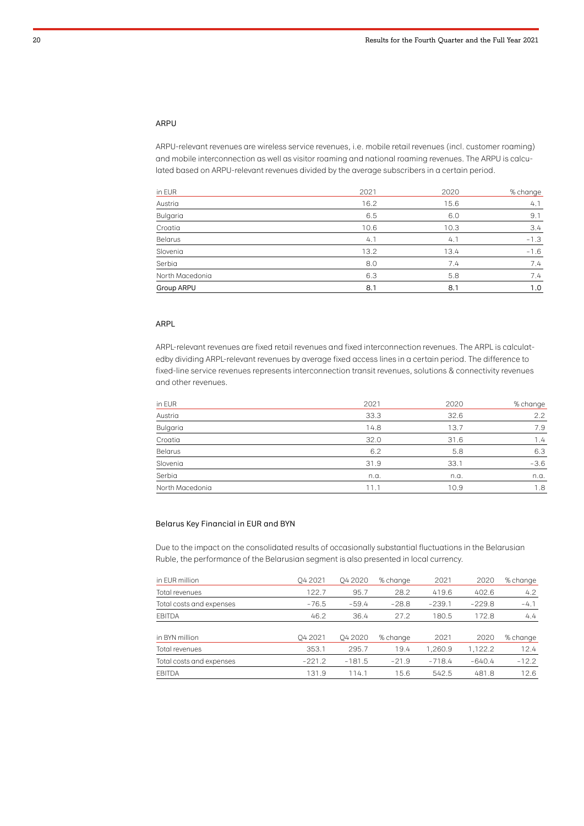#### ARPU

ARPU-relevant revenues are wireless service revenues, i.e. mobile retail revenues (incl. customer roaming) and mobile interconnection as well as visitor roaming and national roaming revenues. The ARPU is calculated based on ARPU-relevant revenues divided by the average subscribers in a certain period.

| in EUR          | 2021 | 2020 | % change |
|-----------------|------|------|----------|
| Austria         | 16.2 | 15.6 | 4.1      |
| Bulgaria        | 6.5  | 6.0  | 9.1      |
| Croatia         | 10.6 | 10.3 | 3.4      |
| <b>Belarus</b>  | 4.1  | 4.1  | $-1.3$   |
| Slovenia        | 13.2 | 13.4 | $-1.6$   |
| Serbia          | 8.0  | 7.4  | 7.4      |
| North Macedonia | 6.3  | 5.8  | 7.4      |
| Group ARPU      | 8.1  | 8.1  | 1.0      |

#### ARPL

ARPL-relevant revenues are fixed retail revenues and fixed interconnection revenues. The ARPL is calculatedby dividing ARPL-relevant revenues by average fixed access lines in a certain period. The difference to fixed-line service revenues represents interconnection transit revenues, solutions & connectivity revenues and other revenues.

| in EUR          | 2021 | 2020 | % change |
|-----------------|------|------|----------|
| Austria         | 33.3 | 32.6 | 2.2      |
| Bulgaria        | 14.8 | 13.7 | 7.9      |
| Croatia         | 32.0 | 31.6 | 1.4      |
| <b>Belarus</b>  | 6.2  | 5.8  | 6.3      |
| Slovenia        | 31.9 | 33.1 | $-3.6$   |
| Serbia          | n.a. | n.a. | n.a.     |
| North Macedonia | 11.1 | 10.9 | 1.8      |

#### Belarus Key Financial in EUR and BYN

Due to the impact on the consolidated results of occasionally substantial fluctuations in the Belarusian Ruble, the performance of the Belarusian segment is also presented in local currency.

| in EUR million           | 04 2021  | <b>042020</b> | % change | 2021     | 2020     | % change |
|--------------------------|----------|---------------|----------|----------|----------|----------|
| Total revenues           | 122.7    | 95.7          | 28.2     | 419.6    | 402.6    | 4.2      |
| Total costs and expenses | $-76.5$  | $-59.4$       | $-28.8$  | $-239.1$ | $-229.8$ | $-4.1$   |
| <b>EBITDA</b>            | 46.2     | 36.4          | 27.2     | 180.5    | 172.8    | 4.4      |
|                          |          |               |          |          |          |          |
| in BYN million           | O4 2021  | <b>042020</b> | % change | 2021     | 2020     | % change |
| Total revenues           | 353.1    | 295.7         | 19.4     | 1.260.9  | 1,122.2  | 12.4     |
| Total costs and expenses | $-221.2$ | $-181.5$      | $-21.9$  | $-718.4$ | $-640.4$ | $-12.2$  |
| <b>EBITDA</b>            | 131.9    | 114.1         | 15.6     | 542.5    | 481.8    | 12.6     |
|                          |          |               |          |          |          |          |